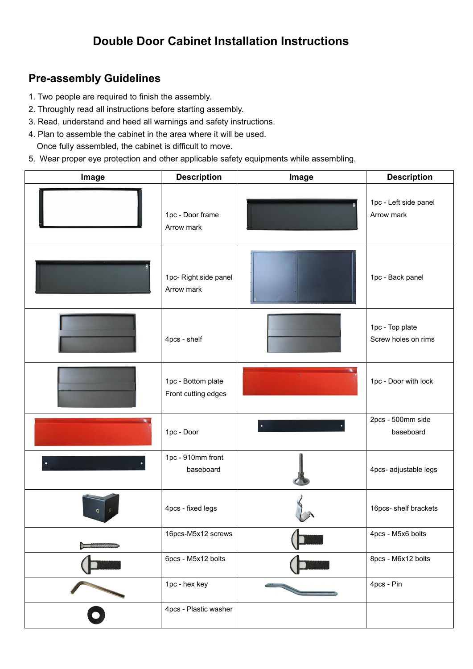## **Double Door Cabinet Installation Instructions**

## **Pre-assembly Guidelines**

- 1. Two people are required to finish the assembly.
- 2. Throughly read all instructions before starting assembly.
- 3. Read, understand and heed all warnings and safety instructions.
- 4. Plan to assemble the cabinet in the area where it will be used. Once fully assembled, the cabinet is difficult to move.
- 5. Wear proper eye protection and other applicable safety equipments while assembling.